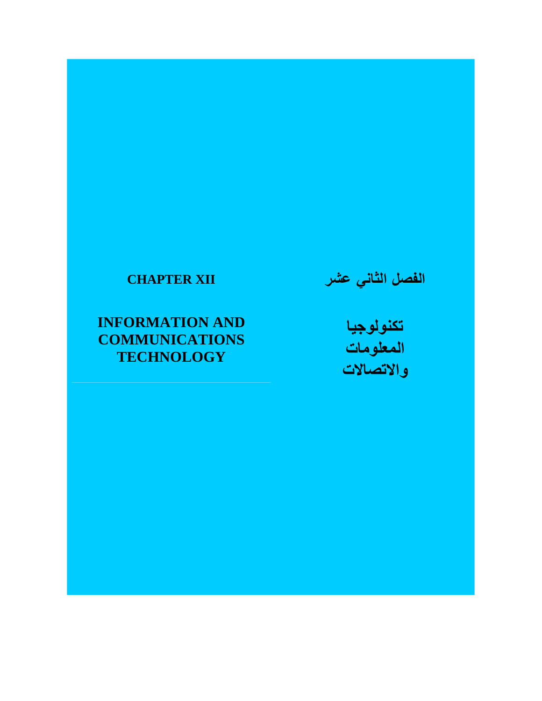# **CHAPTER XII**

# **INFORMATION AND COMMUNICATIONS TECHNOLOGY**

**الفصل الثاني عشر**

**تكنولوجيا المعلومات واالتصاالت**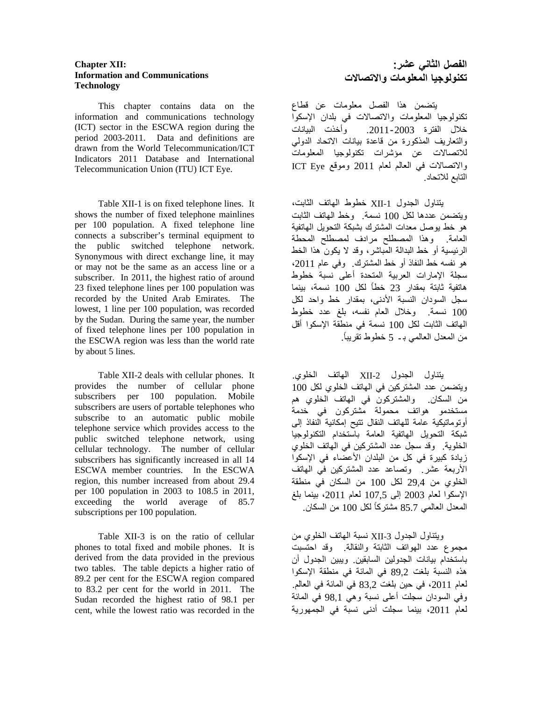# **Chapter XII: Information and Communications Technology**

 This chapter contains data on the information and communications technology (ICT) sector in the ESCWA region during the period 2003-2011. Data and definitions are drawn from the World Telecommunication/ICT Indicators 2011 Database and International Telecommunication Union (ITU) ICT Eye.

 Table XII-1 is on fixed telephone lines. It shows the number of fixed telephone mainlines per 100 population. A fixed telephone line connects a subscriber's terminal equipment to the public switched telephone network. Synonymous with direct exchange line, it may or may not be the same as an access line or a subscriber. In 2011, the highest ratio of around 23 fixed telephone lines per 100 population was recorded by the United Arab Emirates. The lowest, 1 line per 100 population, was recorded by the Sudan. During the same year, the number of fixed telephone lines per 100 population in the ESCWA region was less than the world rate by about 5 lines.

Table XII-2 deals with cellular phones. It provides the number of cellular phone subscribers per 100 population. Mobile subscribers are users of portable telephones who subscribe to an automatic public mobile telephone service which provides access to the public switched telephone network, using cellular technology. The number of cellular subscribers has significantly increased in all 14 ESCWA member countries. In the ESCWA region, this number increased from about 29.4 per 100 population in 2003 to 108.5 in 2011, exceeding the world average of 85.7 subscriptions per 100 population.

 Table XII-3 is on the ratio of cellular phones to total fixed and mobile phones. It is derived from the data provided in the previous two tables. The table depicts a higher ratio of 89.2 per cent for the ESCWA region compared to 83.2 per cent for the world in 2011. The Sudan recorded the highest ratio of 98.1 per cent, while the lowest ratio was recorded in the

## **الفصل الثاني عشر: تكنولوجيا المعلومات واالتصاالت**

يتضمن ھذا الفصل معلومات عن قطاع تكنولوجيا المعلومات واالتصاالت في بلدان اإلسكوا خالل الفترة .2011-2003 وأخذت البيانات والتعاريف المذكورة من قاعدة بيانات االتحاد الدولي لالتصاالت عن مؤشرات تكنولوجيا المعلومات واالتصاالت في العالم لعام 2011 وموقع Eye ICT التابع لالتحاد.

يتناول الجدول -1XII خطوط الھاتف الثابت، ويتضمن عددھا لكل 100 نسمة. وخط الھاتف الثابت ھو خط يوصل معدات المشترك بشبكة التحويل الھاتفية العامة. وھذا المصطلح مرادف لمصطلح المحطة الرئيسية أو خط البدالة المباشر، وقد ال يكون ھذا الخط ھو نفسه خط النفاذ أو خط المشترك. وفي عام ،2011 سجلة اإلمارات العربية المتحدة أعلى نسبة خطوط ھاتفية ثابتة بمقدار 23 خطاً لكل 100 نسمة، بينما سجل السودان النسبة األدنى، بمقدار خط واحد لكل 100 نسمة. وخالل العام نفسه، بلغ عدد خطوط الھاتف الثابت لكل 100 نسمة في منطقة اإلسكوا أقل من المعدل العالمي ب ـ 5 خطوط تقريباً.

يتناول الجدول -2XII الھاتف الخلوي. ويتضمن عدد المشتركين في الھاتف الخلوي لكل 100 من السكان. والمشتركون في الھاتف الخلوي ھم مستخدمو ھواتف محمولة مشتركون في خدمة أوتوماتيكية عامة للھاتف النقال تتيح إمكانية النفاذ إلى شبكة التحويل الھاتفية العامة باستخدام التكنولوجيا الخلوية. وقد سجل عدد المشتركين في الھاتف الخلوي زيادة كبيرة في كل من البلدان الأعضاء في الإسكوا األربعة عشر. وتصاعد عدد المشتركين في الھاتف الخلوي من 29,4 لكل 100 من السكان في منطقة اإلسكوا لعام 2003 إلى 107,5 لعام ،2011 بينما بلغ المعدل العالمي 85.7 مشتركًا لكل 100 من السكان.

ويتناول الجدول 3-XII نسبة الهاتف الخلوي من مجموع عدد الھواتف الثابتة والنقالة. وقد احتسبت باستخدام بيانات الجدولين السابقين. ويبين الجدول أن ھذه النسبة بلغت 89,2 في المائة في منطقة اإلسكوا لعام ،2011 في حين بلغت 83,2 في المائة في العالم. وفي السودان سجلت أعلى نسبة وھي 98,1 في المائة لعام ،2011 بينما سجلت أدنى نسبة في الجمھورية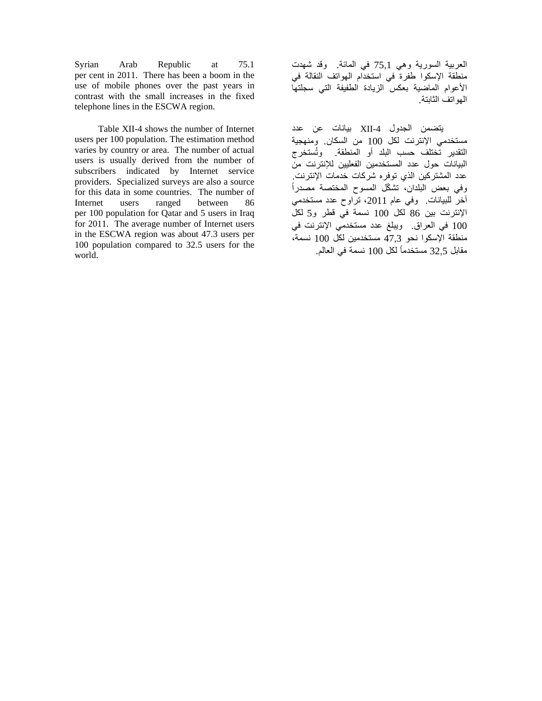Syrian Arab Republic at 75.1 per cent in 2011. There has been a boom in the use of mobile phones over the past years in contrast with the small increases in the fixed telephone lines in the ESCWA region.

 Table XII-4 shows the number of Internet users per 100 population. The estimation method varies by country or area. The number of actual users is usually derived from the number of subscribers indicated by Internet service providers. Specialized surveys are also a source for this data in some countries. The number of Internet users ranged between 86 per 100 population for Qatar and 5 users in Iraq for 2011. The average number of Internet users in the ESCWA region was about 47.3 users per 100 population compared to 32.5 users for the world.

العربية السورية وھي 75,1 في المائة. وقد شھدت منطقة اإلسكوا طفرة في استخدام الھواتف النقالة في األعوام الماضية بعكس الزيادة الطفيفة التي سجلتھا الھواتف الثابتة.

يتضمن الجدول -4XII بيانات عن عدد مستخدمي اإلنترنت لكل 100 من السكان. ومنھجية التقدير تختلف حسب البلد أو المنطقة. وُتستخرج البيانات حول عدد المستخدمين الفعليين لإلنترنت من عدد المشتركين الذي توفره شركات خدمات اإلنترنت. وفي بعض البلدان، تش ّكل المسوح المختصة مصدراً آخر للبيانات. وفي عام ،2011 تراوح عدد مستخدمي اإلنترنت بين 86 لكل 100 نسمة في قطر و5 لكل 100 في العراق. ويبلغ عدد مستخدمي اإلنترنت في منطقة اإلسكوا نحو 47,3 مستخدمين لكل 100 نسمة، مقابل 32,5 مستخدمًا لكل 100 نسمة في العالم.